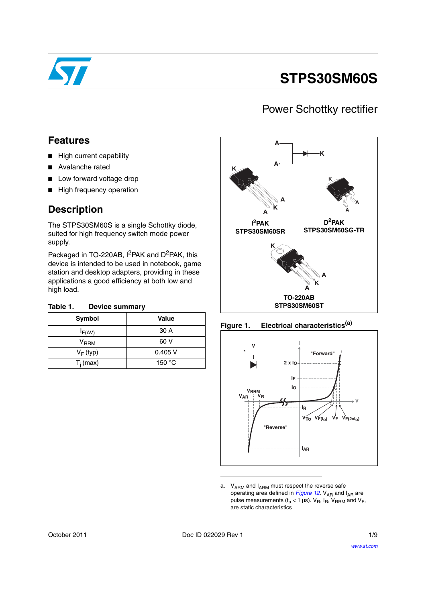

# **STPS30SM60S**

### Power Schottky rectifier

### **Features**

- High current capability
- Avalanche rated
- Low forward voltage drop
- High frequency operation

### **Description**

The STPS30SM60S is a single Schottky diode, suited for high frequency switch mode power supply.

Packaged in TO-220AB, I<sup>2</sup>PAK and D<sup>2</sup>PAK, this device is intended to be used in notebook, game station and desktop adapters, providing in these applications a good efficiency at both low and high load.

| Table 1. | <b>Device summary</b> |
|----------|-----------------------|
|----------|-----------------------|

| Symbol      | <b>Value</b>    |
|-------------|-----------------|
| $I_{F(AV)}$ | 30 A            |
| $V_{RRM}$   | 60 V            |
| $V_F$ (typ) | $0.405$ V       |
| $T_i$ (max) | 150 $\degree$ C |







a.  $V_{ARM}$  and  $I_{ARM}$  must respect the reverse safe operating area defined in *[Figure 12](#page-3-0)*. V<sub>AR</sub> and I<sub>AR</sub> are pulse measurements ( $t_p < 1$  µs).  $V_R$ ,  $I_R$ ,  $V_{RRM}$  and  $V_F$ , are static characteristics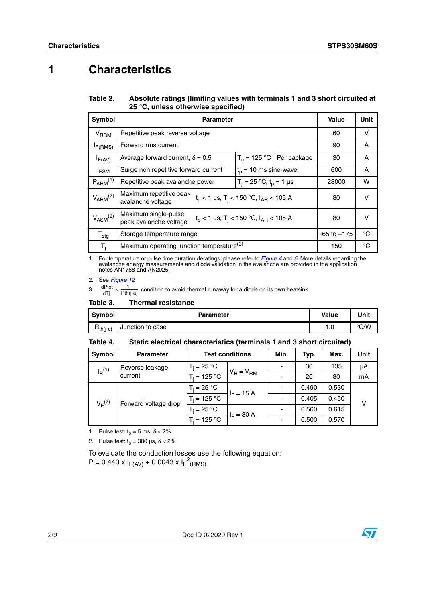## **1 Characteristics**

Table 2. Absolute ratings (limiting values with terminals 1 and 3 short circuited at **25 °C, unless otherwise specified)**

| Symbol                      |                                                       | Value                                                            | Unit            |                              |       |        |
|-----------------------------|-------------------------------------------------------|------------------------------------------------------------------|-----------------|------------------------------|-------|--------|
| $V_{\sf RRM}$               | Repetitive peak reverse voltage                       |                                                                  |                 |                              | 60    | $\vee$ |
| F(RMS)                      | Forward rms current                                   |                                                                  |                 |                              | 90    | A      |
| $I_{F(AV)}$                 | Average forward current, $\delta = 0.5$               |                                                                  |                 | $T_c = 125$ °C   Per package | 30    | A      |
| $I_{FSM}$                   | Surge non repetitive forward current                  | $t_0$ = 10 ms sine-wave                                          |                 |                              | 600   | A      |
| $P_{ARM}^{(1)}$             | Repetitive peak avalanche power                       | $T_i = 25 °C$ , $t_p = 1 \mu s$                                  |                 |                              | 28000 | w      |
| $V_{ARM}^{(2)}$             | Maximum repetitive peak<br>avalanche voltage          | $t_{p}$ < 1 µs, T <sub>i</sub> < 150 °C, I <sub>AR</sub> < 105 A | 80              | v                            |       |        |
| $V_{\rm{ASM}}^{(2)}$        | Maximum single-pulse<br>peak avalanche voltage        | $t_p$ < 1 µs, T <sub>i</sub> < 150 °C, I <sub>AR</sub> < 105 A   | 80              | v                            |       |        |
| $\mathsf{T}_{\mathsf{stg}}$ | Storage temperature range                             |                                                                  | $-65$ to $+175$ | °C                           |       |        |
| T,                          | Maximum operating junction temperature <sup>(3)</sup> |                                                                  |                 |                              | 150   | °C     |

1. For temperature or pulse time duration deratings, please refer to *[Figure 4](#page-2-0)* and *[5](#page-2-1)*. More details regarding the avalanche energy measurements and diode validation in the avalanche are provided in the application notes AN1768 and AN2025.

2. See *[Figure 12](#page-3-0)*

3.  $\frac{dPtot}{dTj} < \frac{1}{Rth(j-a)}$  condition to avoid thermal runaway for a diode on its own heatsink

#### Table 3. **Thermal resistance**

| <b>Symbol</b>                                            | <b>Parameter</b> | <b>Value</b> | Unit |
|----------------------------------------------------------|------------------|--------------|------|
| $\mathsf{R}_{\mathsf{th}(\mathsf{j}\text{-}\mathsf{c})}$ | Junction to case | 1.0          | °C/W |

#### Table 4. Static electrical characteristics (terminals 1 and 3 short circuited)

| Symbol                              | <b>Parameter</b> | <b>Test conditions</b> |              | Min.  | Typ.  | Max.  | Unit |
|-------------------------------------|------------------|------------------------|--------------|-------|-------|-------|------|
| $I_R$ <sup>(1)</sup>                | Reverse leakage  | $T_i = 25 °C$          |              |       | 30    | 135   | μA   |
| current                             | $T_i = 125 °C$   | $V_R = V_{RM}$         |              | 20    | 80    | mA    |      |
| $V_F^{(2)}$<br>Forward voltage drop | $T_i = 25 °C$    | $I_F = 15 A$           |              | 0.490 | 0.530 |       |      |
|                                     |                  | $T_i = 125 °C$         |              |       | 0.405 | 0.450 | v    |
|                                     |                  | $T_i = 25 °C$          | $I_F = 30 A$ |       | 0.560 | 0.615 |      |
|                                     |                  | $T_i = 125 °C$         |              |       | 0.500 | 0.570 |      |

1. Pulse test:  $t_p = 5$  ms,  $\delta < 2\%$ 

2. Pulse test:  $t_p = 380 \text{ }\mu\text{s}, \delta < 2\%$ 

To evaluate the conduction losses use the following equation:  $P = 0.440 \times I_{F(AV)} + 0.0043 \times I_{F}^{2}$ (RMS)

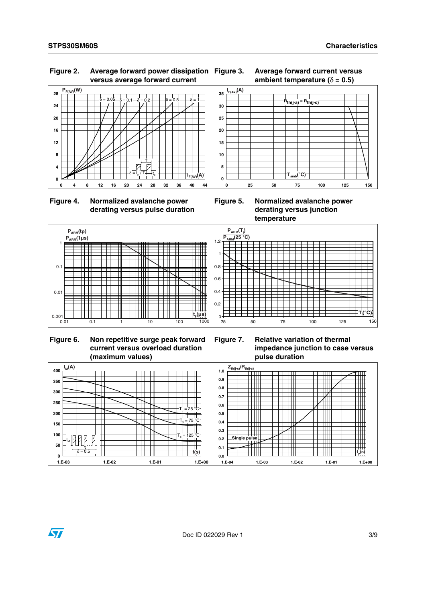

### **Figure 2. Average forward power dissipation versus average forward current**





<span id="page-2-0"></span> **Figure 4. Normalized avalanche power derating versus pulse duration**

<span id="page-2-1"></span>**Figure 5. Normalized avalanche power derating versus junction temperature**



 **Figure 6. Non repetitive surge peak forward current versus overload duration (maximum values)**

**Figure 7. Relative variation of thermal impedance junction to case versus pulse duration**



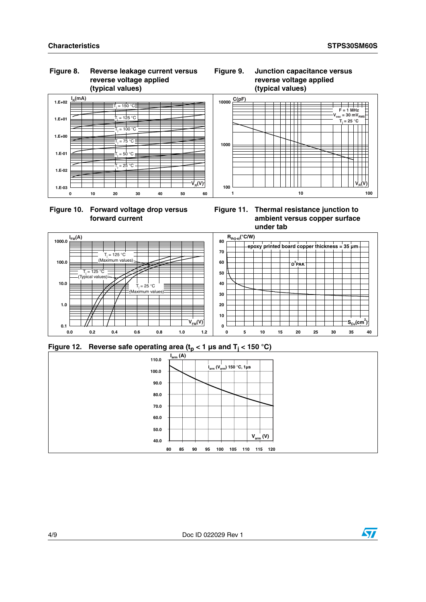### **Figure 8. Reverse leakage current versus reverse voltage applied (typical values)**





### **Figure 9. Junction capacitance versus reverse voltage applied (typical values)**



**Figure 11. Thermal resistance junction to ambient versus copper surface under tab**



<span id="page-3-0"></span>



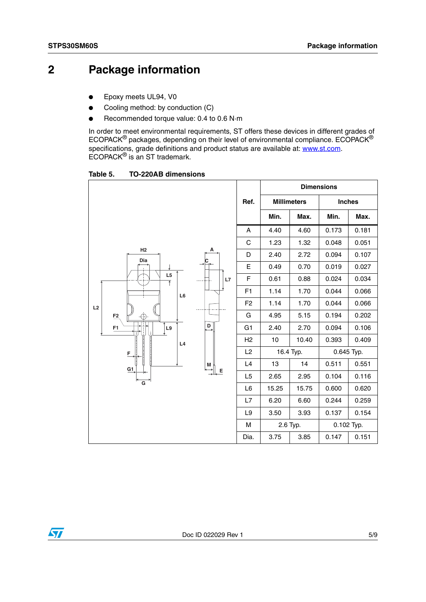## **2 Package information**

- Epoxy meets UL94, V0
- Cooling method: by conduction (C)
- Recommended torque value: 0.4 to 0.6 N·m

In order to meet environmental requirements, ST offers these devices in different grades of ECOPACK® packages, depending on their level of environmental compliance. ECOPACK® specifications, grade definitions and product status are available at: **www.st.com**. ECOPACK® is an ST trademark.

Table 5. **Table 5. TO-220AB dimensions**

|                                        |                |                    |           | <b>Dimensions</b> |            |
|----------------------------------------|----------------|--------------------|-----------|-------------------|------------|
|                                        | Ref.           | <b>Millimeters</b> |           | <b>Inches</b>     |            |
|                                        |                | Min.               | Max.      | Min.              | Max.       |
|                                        | A              | 4.40               | 4.60      | 0.173             | 0.181      |
|                                        | C              | 1.23               | 1.32      | 0.048             | 0.051      |
| H2<br>А<br>Dia                         | D              | 2.40               | 2.72      | 0.094             | 0.107      |
|                                        | Е              | 0.49               | 0.70      | 0.019             | 0.027      |
| L <sub>5</sub><br>L7<br>$\overline{1}$ | F              | 0.61               | 0.88      | 0.024             | 0.034      |
| L6                                     | F <sub>1</sub> | 1.14               | 1.70      | 0.044             | 0.066      |
| L2                                     | F <sub>2</sub> | 1.14               | 1.70      | 0.044             | 0.066      |
| F <sub>2</sub><br>$\oplus$             | G              | 4.95               | 5.15      | 0.194             | 0.202      |
| D<br>$\mathsf{L}9$<br>F1               | G <sub>1</sub> | 2.40               | 2.70      | 0.094             | 0.106      |
| L4                                     | H2             | 10                 | 10.40     | 0.393             | 0.409      |
| F                                      | L2             |                    | 16.4 Typ. |                   | 0.645 Typ. |
| M<br>G1                                | L4             | 13                 | 14        | 0.511             | 0.551      |
| E<br>$\overline{\mathsf{G}}$           | L <sub>5</sub> | 2.65               | 2.95      | 0.104             | 0.116      |
|                                        | L6             | 15.25              | 15.75     | 0.600             | 0.620      |
|                                        | L7             | 6.20               | 6.60      | 0.244             | 0.259      |
|                                        | L <sub>9</sub> | 3.50               | 3.93      | 0.137             | 0.154      |
|                                        | M              |                    | 2.6 Typ.  |                   | 0.102 Typ. |
|                                        | Dia.           | 3.75               | 3.85      | 0.147             | 0.151      |

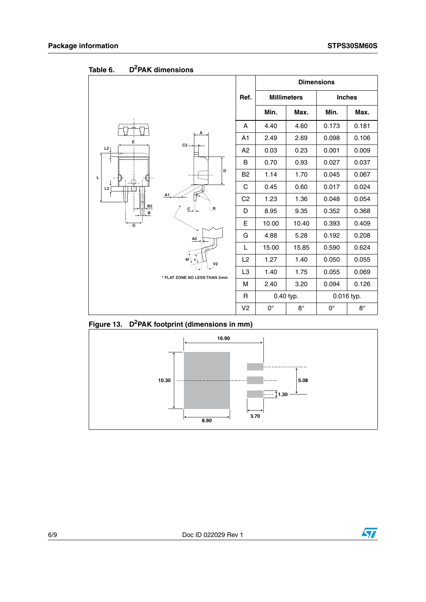|                    |                                           |                |                    | <b>Dimensions</b> |               |             |
|--------------------|-------------------------------------------|----------------|--------------------|-------------------|---------------|-------------|
|                    |                                           | Ref.           | <b>Millimeters</b> |                   | <b>Inches</b> |             |
|                    |                                           |                | Min.               | Max.              | Min.          | Max.        |
|                    |                                           | A              | 4.40               | 4.60              | 0.173         | 0.181       |
| E                  | А                                         | A1             | 2.49               | 2.69              | 0.098         | 0.106       |
| L2                 | $C2 -$                                    | A <sub>2</sub> | 0.03               | 0.23              | 0.001         | 0.009       |
|                    |                                           | B              | 0.70               | 0.93              | 0.027         | 0.037       |
| Г<br>L3<br>B2<br>B | D                                         | B <sub>2</sub> | 1.14               | 1.70              | 0.045         | 0.067       |
|                    |                                           | C              | 0.45               | 0.60              | 0.017         | 0.024       |
|                    | A1<br>$\overline{R}$<br>$C_{\rightarrow}$ | C <sub>2</sub> | 1.23               | 1.36              | 0.048         | 0.054       |
|                    |                                           | D              | 8.95               | 9.35              | 0.352         | 0.368       |
| $\overline{G}$     |                                           | Е              | 10.00              | 10.40             | 0.393         | 0.409       |
|                    | A <sub>2</sub>                            | G              | 4.88               | 5.28              | 0.192         | 0.208       |
|                    |                                           | L              | 15.00              | 15.85             | 0.590         | 0.624       |
|                    | M<br>V <sub>2</sub>                       | L2             | 1.27               | 1.40              | 0.050         | 0.055       |
|                    | * FLAT ZONE NO LESS THAN 2mm              | L <sub>3</sub> | 1.40               | 1.75              | 0.055         | 0.069       |
|                    |                                           | M              | 2.40               | 3.20              | 0.094         | 0.126       |
|                    |                                           | R              | 0.40 typ.          |                   |               | 0.016 typ.  |
|                    |                                           | V <sub>2</sub> | $0^{\circ}$        | $8^{\circ}$       | $0^{\circ}$   | $8^{\circ}$ |

Table 6. **Table 6. D2PAK dimensions**

**Figure 13. D2PAK footprint (dimensions in mm)**



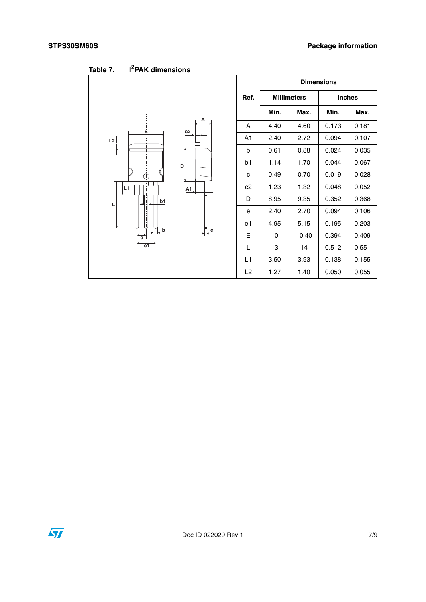|                                                                             |                | <b>Dimensions</b> |                    |               |       |
|-----------------------------------------------------------------------------|----------------|-------------------|--------------------|---------------|-------|
|                                                                             | Ref.           |                   | <b>Millimeters</b> | <b>Inches</b> |       |
|                                                                             |                | Min.              | Max.               | Min.          | Max.  |
| Α<br>Ė                                                                      | A              | 4.40              | 4.60               | 0.173         | 0.181 |
| c2<br>L2                                                                    | A <sub>1</sub> | 2.40              | 2.72               | 0.094         | 0.107 |
|                                                                             | b              | 0.61              | 0.88               | 0.024         | 0.035 |
| D                                                                           | b1             | 1.14              | 1.70               | 0.044         | 0.067 |
| ⊕<br>L1<br>$\underline{A1}$<br>b1<br>L<br>⇥                                 | C              | 0.49              | 0.70               | 0.019         | 0.028 |
|                                                                             | c2             | 1.23              | 1.32               | 0.048         | 0.052 |
|                                                                             | D              | 8.95              | 9.35               | 0.352         | 0.368 |
|                                                                             | e              | 2.40              | 2.70               | 0.094         | 0.106 |
|                                                                             | e1             | 4.95              | 5.15               | 0.195         | 0.203 |
| $\downarrow$ b<br>$+$ $\leftarrow$<br>$\rightarrow$<br>$\overrightarrow{e}$ | E              | 10                | 10.40              | 0.394         | 0.409 |
| e <sub>1</sub>                                                              | L              | 13                | 14                 | 0.512         | 0.551 |
|                                                                             | L1             | 3.50              | 3.93               | 0.138         | 0.155 |
|                                                                             | L2             | 1.27              | 1.40               | 0.050         | 0.055 |

Table 7. **I<sup>2</sup>PAK dimensions** 

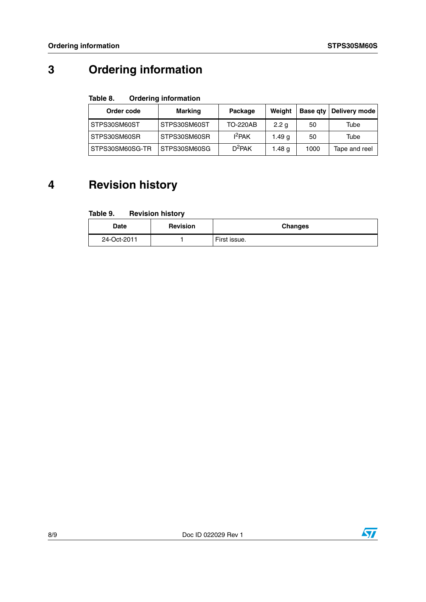## **3 Ordering information**

#### Table 8. **Ordering information**

| Order code      | Marking      | Package   | Weight           |      | Base gty   Delivery mode |
|-----------------|--------------|-----------|------------------|------|--------------------------|
| STPS30SM60ST    | STPS30SM60ST | TO-220AB  | 2.2 <sub>q</sub> | 50   | Tube                     |
| STPS30SM60SR    | STPS30SM60SR | $I^2$ PAK | 1.49 g           | 50   | Tube                     |
| STPS30SM60SG-TR | STPS30SM60SG | $D^2$ PAK | 1.48 g           | 1000 | Tape and reel            |

## **4 Revision history**

#### Table 9. **Revision history**

| Date        | <b>Revision</b> | <b>Changes</b> |
|-------------|-----------------|----------------|
| 24-Oct-2011 |                 | First issue.   |